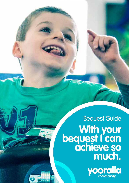# **With your bequest I can achieve so much.** Bequest Guide

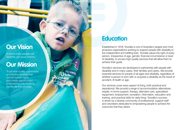## **Our Vision**

A world where people with disability are equal citizens.

## **Our Mission**

To provide quality, sustainable and flexible services that uphold human rights and create opportunities, empowering individuals to live the life they choose.

## **Education**

Established in 1918, Yooralla is one of Australia's largest and most proactive organisations working to support people with disability to live independent and fulfilling lives. Yooralla values the right of every person, irrespective of age, gender, financial circumstance or level of disability, to access high-quality services that will allow them to achieve their goals.

Yooralla's services are developed in partnership with people with disability and in many cases, their families and carers. We provide essential services for people of all ages and disability, regardless of whether a person is born with or acquires a disability as the result of accident, ill health or age.

Our services cover every aspect of living, both practical and aspirational. We provide a range of accommodation alternatives, respite, in-home support, therapy, attendant care, specialised equipment, employment, recreation, information, education and training, and practical skills for daily living. Yooralla's success is driven by a diverse community of professional, support staff and volunteers dedicated to empowering people to achieve the outcomes that they desire.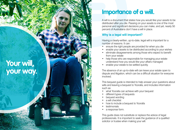**Your will, your way.**

## **Importance of a will.**

A will is a document that states how you would like your assets to be distributed after you die. Passing on your assets is one of the most personal and significant decisions you can make, and yet, nearly 50 percent of Australians don't have a will in place.

## **Why is a legal will important?**

Having a clearly-written, up-to-date, legal will is important for a number of reasons. It can:

- ensure the right people are provided for when you die
- enable your assets to be distributed according to your wishes
- eliminate disagreements among those who expect to benefit from your estate
- help those who are responsible for managing your estate understand how you would like your affairs managed
- enable your estate to be settled quickly.

The absence of an up-to-date will can leave your estate open to dispute and litigation, which can be a difficult situation for everyone involved.

This bequest guide is intended to help answer your questions about wills and leaving a bequest to Yooralla, and includes information such as:

- what Yooralla can achieve with your bequest
- different types of bequests
- bequest wording
- a will checklist
- how to include a bequest to Yooralla
- testimonials
- a response form.

This guide does not substitute or replace the advice of legal professionals. It is important to seek the guidance of a qualifed solicitor or trustee when making your will.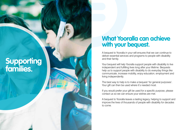# **Supporting families.**

## **What Yooralla can achieve with your bequest.**

A bequest to Yooralla in your will ensures that we can continue to deliver essential services and programs to people with disability and their family.

Your bequest will help Yooralla support people with disability to live independent and fulfilling lives long after your lifetime. Bequests help us to support people with disability to do everyday things like communicate, increase mobility, enjoy education, employment and living independently.

The best way to help is to make a bequest 'for general purposes'. Your gift can then be used where it's needed most.

If you would prefer your gift be used for a specific purpose, please contact us so we can ensure your wishes are met.

A bequest to Yooralla leaves a lasting legacy, helping to support and improve the lives of thousands of people with disability for decades to come.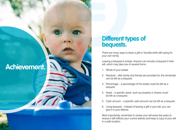# **Achievement.**

## **Different types of bequests.**

There are many ways to leave a gift to Yooralla while still caring for your own family.

Leaving a bequest is simple. Anyone can include a bequest in their will, which may take one of several forms:

- 1. Whole of your estate.
- 2. Residual after family and friends are provided for, the remainder can be left as a bequest.
- 3. Percentage a percentage of the estate could be left as a bequest.
- 4. Asset a specific asset, such as property or shares could be left as a bequest.
- 5. Cash amount a specific cash amount can be left as a bequest.
- 6. Living bequest instead of leaving a gift in your will, you can give it in your lifetime.

Most importantly, remember to review your will every few years to ensure it still reflects your current wishes and keep a copy of your will in a safe location.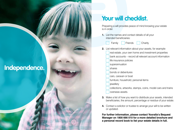# **Independence.**

# **Your will checklist.**

Preparing a will provides peace of mind knowing your estate is in order.

**1.** List the names and contact details of all your intended beneficiaries:

Family Friends Charity

- **2.** List relevant information about your assets, for example:
	- real estate, your own home and investment properties
	- bank accounts record all relevant account information
	- life insurance policies
	- superannuation
	- shares
	- bonds or debentures
	- cars, caravan or boat
	- furniture, household, personal items
	- iewellery
	- collections, artworks, stamps, coins, model cars and trains overseas assets.
- **3.** Make a list of how you want to distribute your assets, intended beneficiaries, the amount, percentage or residue of your estate.
- **4.** Contact a solicitor or trustee to arrange your will to be written or updated.

**For further information, please contact Yooralla's Bequest Manager on 1800 666 010 for a more detailed brochure and a personal record book to list your estate details in full.**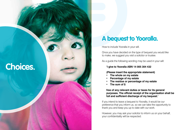# **Choices.**

## **A bequest to Yooralla.**

How to include Yooralla in your will.

Once you have decided on the type of bequest you would like to make, we suggest you visit a solicitor or trustee.

As a guide the following wording may be used in your will:

### **'I give to Yooralla ABN 14 005 304 432**

#### **(Please insert the appropriate statement)**

- **• The whole on my estate**
- **• Percentage of my estate**
- **• The residue or percentage of my estate**
- **• The sum of \$**

### **free of any relevant duties or taxes for its general purposes. The official receipt of the organisation shall be full and sufficient discharge of my bequest.'**

If you intend to leave a bequest to Yooralla, it would be our preference that you inform us, so we can take the opportunity to thank you and keep you up to date with our work.

However, you may ask your solicitor to inform us on your behalf, your confidentiality will be respected.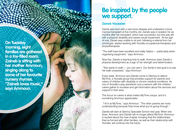**On Tuesday morning, eight families are gathered in a toy-filled room. Zaineb is sitting with her mother Ammoun, singing along to some of her favourite nursery rhymes. "Zaineb loves music," says Ammoun.**

## **Be inspired by the people we support.**

### **Zaineb Houssien**

Zaineb was born with a rare bone disease and underwent a bone marrow transplant at five months old. Zaineb was in isolation for six months after her transplant, which was successful, but she was left with a physical disability and severe visual impairment. At the age of one, Zaineb was unable to sit and, following a referral from her oncologist, started working with Yooralla occupational therapists and physiotherapists.

"The staff have been excellent and really helpful — particularly when organising equipment," says Ammoun.

Now five, Zaineb is learning how to walk. Ammoun sees Zaineb's physical development as a sign of her strength and determination.

 "She wants to walk — you can see it. Our family's next goal is to see her walk unassisted," says Ammoun.

Every week, Ammoun and Zaineb come to Glenroy to attend MyTime, a Yooralla group that provides support for parents and carers of children with disability or chronic medical conditions. As one of Yooralla's play assistants runs a session with the children, carers gather to socialise and get information about the services and support in their area.

This focus on carers is what makes MyTime unique, and it's something Ammoun appreciates.

 "I fit in at MyTime," says Ammoun. "The other parents are more understanding because they know what you're going through."

Zaineb will start at Glenroy Specialist School next year. When she does, Ammoun and Zaineb will no longer attend MyTime. Ammoun is excited about this new chapter, knowing that the relationships they've formed with other families, as well as their relationship with Yooralla, will continue into the future.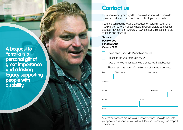**A bequest to Yorralla is a personal gift of great importance and a lasting legacy supporting people with disability.**

## **Contact us**

If you have already arranged to leave a gift in your will to Yooralla, please let us know as we would like to thank you personally.

If you are considering leaving a bequest to Yooralla in your will or if you would like to talk about what is involved, please contact our Bequest Manager on 1800 666 010. Alternatively, please complete this form and return to:

**Yooralla PO Box 200 Flinders Lane Victoria 8009**

- I have already included Yooralla in my will
- I intend to include Yooralla in my will
- I would like you to contact me to discuss leaving a bequest
- Please send me more information about leaving a bequest.

| Title   | Given Name |        | Last Name |       |
|---------|------------|--------|-----------|-------|
| Address |            |        |           |       |
| Suburb  |            |        | Postcode  | State |
| Phone   |            | Mobile |           |       |
| Email   |            |        |           |       |

All communications are in the strictest confidence. Yooralla respects your privacy and honours your gift with the care, sensitivity and respect it deserves.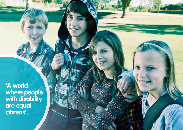**'A world where people with disability are equal citizens'.**